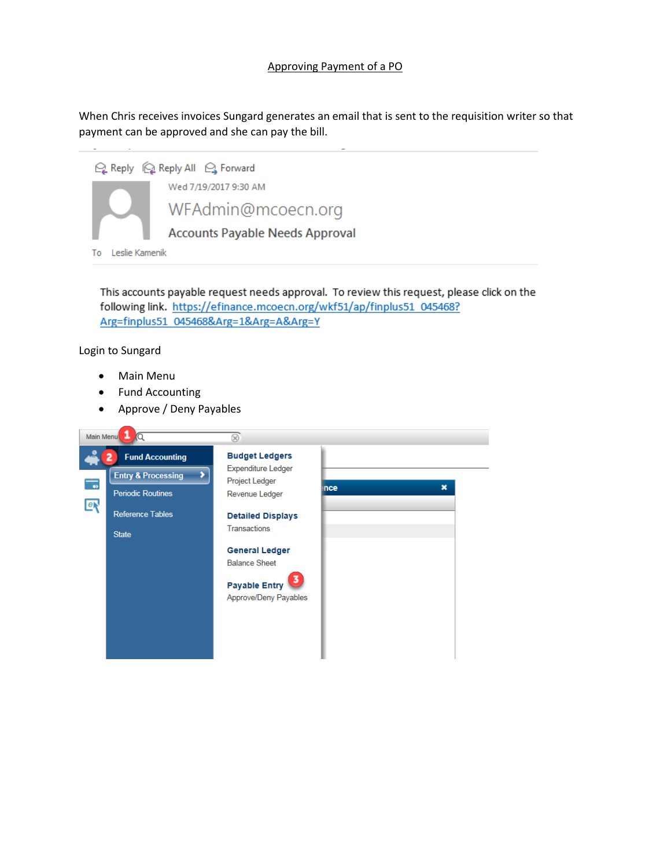## Approving Payment of a PO

When Chris receives invoices Sungard generates an email that is sent to the requisition writer so that payment can be approved and she can pay the bill.



This accounts payable request needs approval. To review this request, please click on the following link. https://efinance.mcoecn.org/wkf51/ap/finplus51\_045468? Arg=finplus51\_045468&Arg=1&Arg=A&Arg=Y

Login to Sungard

- Main Menu
- Fund Accounting
- Approve / Deny Payables

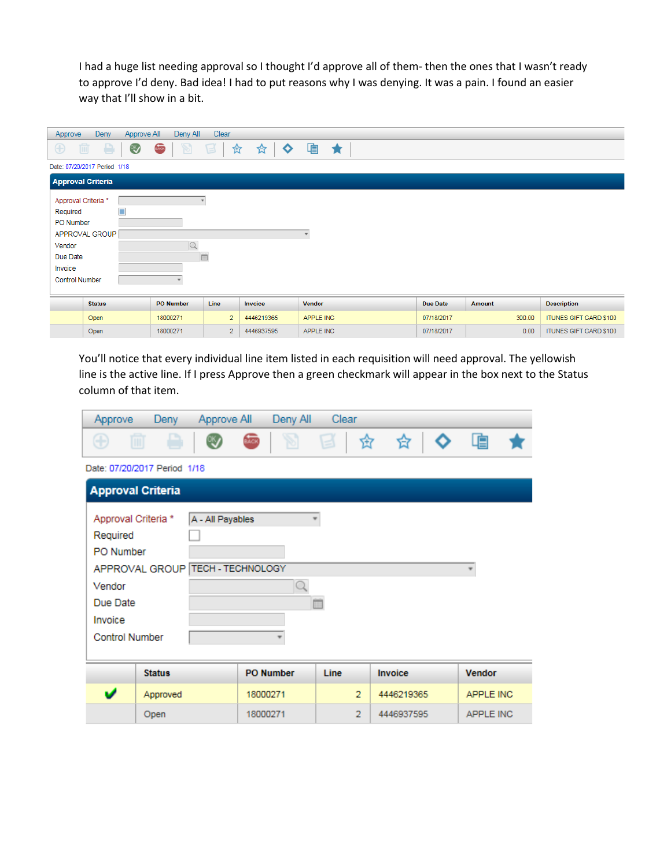I had a huge list needing approval so I thought I'd approve all of them- then the ones that I wasn't ready to approve I'd deny. Bad idea! I had to put reasons why I was denying. It was a pain. I found an easier way that I'll show in a bit.

| Approve                  | Deny                         | Deny All<br>Approve All              | Clear          |                |               |            |        |                        |  |
|--------------------------|------------------------------|--------------------------------------|----------------|----------------|---------------|------------|--------|------------------------|--|
| $\bigoplus$              | ₿.<br>而                      | BACK<br>$\mathbb{Z}$<br>$\mathbb{C}$ | 目<br>欫         | $\bullet$<br>☆ | 咱<br>$\star$  |            |        |                        |  |
|                          | Date: 07/20/2017 Period 1/18 |                                      |                |                |               |            |        |                        |  |
| <b>Approval Criteria</b> |                              |                                      |                |                |               |            |        |                        |  |
| Approval Criteria *      |                              |                                      |                |                |               |            |        |                        |  |
| Required                 | □                            |                                      |                |                |               |            |        |                        |  |
|                          | PO Number                    |                                      |                |                |               |            |        |                        |  |
|                          | APPROVAL GROUP               |                                      |                |                |               |            |        |                        |  |
| Vendor                   |                              |                                      |                |                |               |            |        |                        |  |
| Due Date                 |                              |                                      | 曲              |                |               |            |        |                        |  |
| Invoice                  |                              |                                      |                |                |               |            |        |                        |  |
| <b>Control Number</b>    |                              |                                      |                |                |               |            |        |                        |  |
|                          |                              |                                      |                |                |               |            |        |                        |  |
|                          | <b>Status</b>                | <b>PO Number</b>                     | Line           | Invoice        | <b>Vendor</b> | Due Date   | Amount | <b>Description</b>     |  |
|                          | Open                         | 18000271                             | $\overline{2}$ | 4446219365     | APPLE INC     | 07/18/2017 | 300.00 | ITUNES GIFT CARD \$100 |  |
|                          | Open                         | 18000271                             | $\overline{2}$ | 4446937595     | APPLE INC     | 07/18/2017 | 0.00   | ITUNES GIFT CARD \$100 |  |

You'll notice that every individual line item listed in each requisition will need approval. The yellowish line is the active line. If I press Approve then a green checkmark will appear in the box next to the Status column of that item.

| Approve                                                | Clear<br>Deny All<br>Deny<br>Approve All |                  |                  |                |             |                  |  |  |
|--------------------------------------------------------|------------------------------------------|------------------|------------------|----------------|-------------|------------------|--|--|
| Œ                                                      | m                                        |                  | e.               | d              | 岔<br>◇<br>岔 | 喧                |  |  |
|                                                        | Date: 07/20/2017 Period 1/18             |                  |                  |                |             |                  |  |  |
|                                                        | <b>Approval Criteria</b>                 |                  |                  |                |             |                  |  |  |
| Approval Criteria *<br>Required<br>PO Number<br>Vendor | APPROVAL GROUP TECH - TECHNOLOGY         | A - All Payables |                  |                |             |                  |  |  |
| Due Date<br>曲<br>Invoice<br><b>Control Number</b>      |                                          |                  |                  |                |             |                  |  |  |
|                                                        | <b>Status</b>                            |                  | <b>PO Number</b> | Line           | Invoice     | <b>Vendor</b>    |  |  |
| v                                                      | Approved                                 |                  | 18000271         | $\overline{2}$ | 4446219365  | APPLE INC        |  |  |
|                                                        | Open                                     |                  | 18000271         | $\overline{2}$ | 4446937595  | <b>APPLE INC</b> |  |  |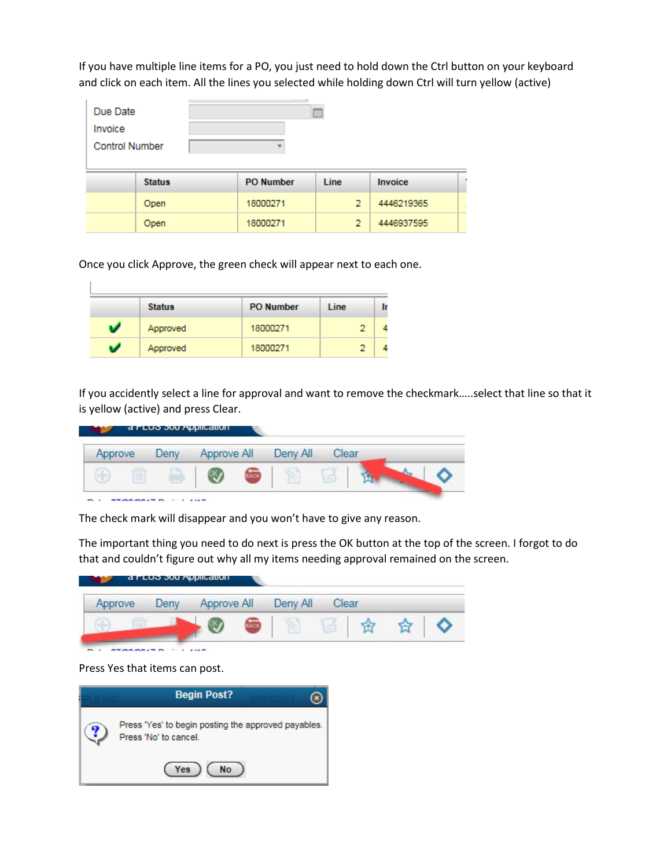If you have multiple line items for a PO, you just need to hold down the Ctrl button on your keyboard and click on each item. All the lines you selected while holding down Ctrl will turn yellow (active)

| Due Date<br>Invoice<br><b>Control Number</b> |               |                  | 田              |            |  |
|----------------------------------------------|---------------|------------------|----------------|------------|--|
|                                              | <b>Status</b> | <b>PO Number</b> | <b>Line</b>    | Invoice    |  |
|                                              | Open          | 18000271         | $\overline{2}$ | 4446219365 |  |
|                                              | Open          | 18000271         | $\overline{2}$ | 4446937595 |  |

Once you click Approve, the green check will appear next to each one.

|   | <b>Status</b> | <b>PO Number</b> | Line |  |
|---|---------------|------------------|------|--|
| U | Approved      | 18000271         |      |  |
| U | Approved      | 18000271         |      |  |

If you accidently select a line for approval and want to remove the checkmark…..select that line so that it is yellow (active) and press Clear.

| Approve | Der <sup>*</sup> | Approve All | Deny All | Clear |  |
|---------|------------------|-------------|----------|-------|--|
|         |                  |             |          |       |  |

The check mark will disappear and you won't have to give any reason.

The important thing you need to do next is press the OK button at the top of the screen. I forgot to do that and couldn't figure out why all my items needing approval remained on the screen.



Press Yes that items can post.